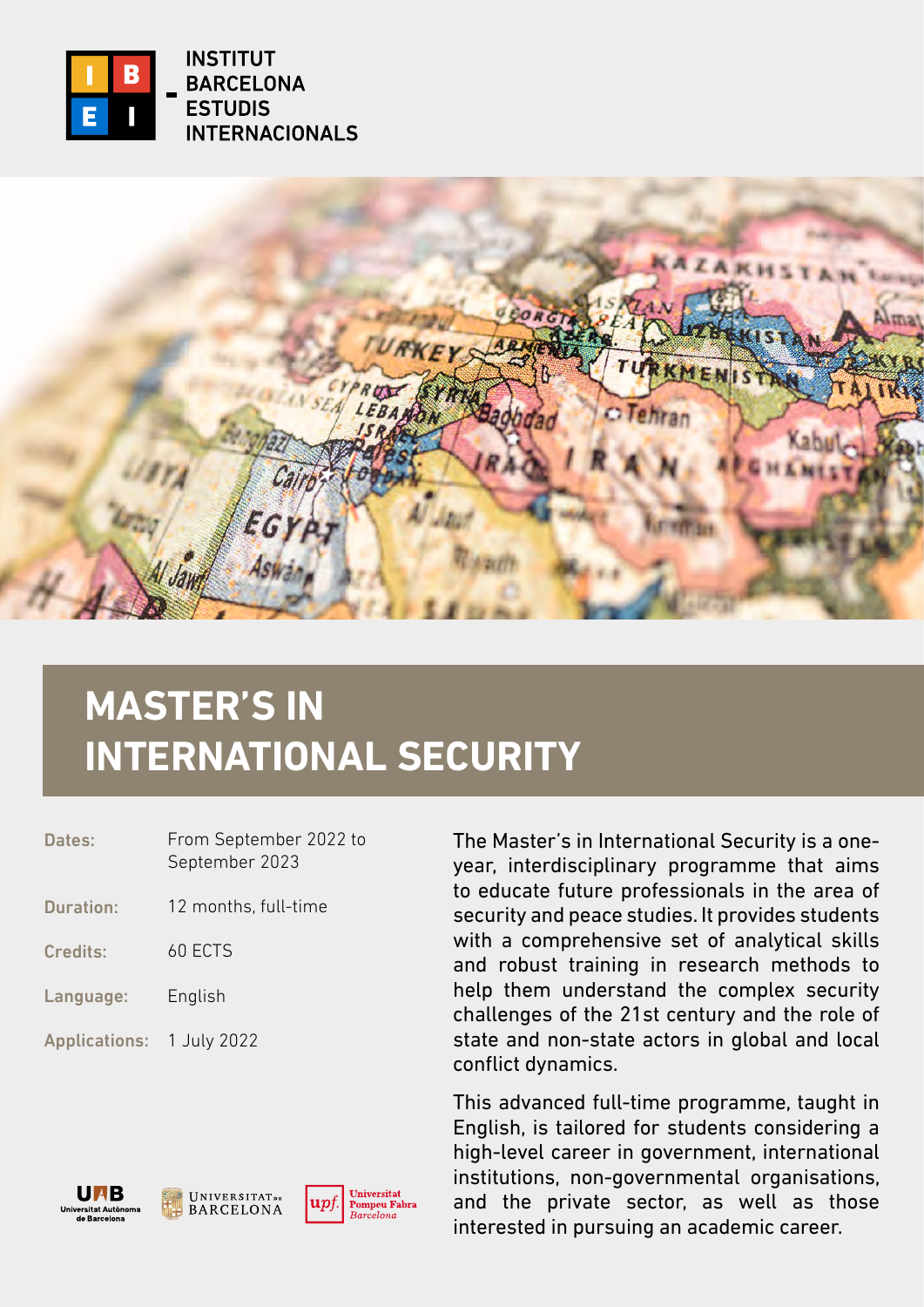

**INSTITUT BARCELONA ESTUDIS INTERNACIONALS** 

**AKHS** O Tehrar

# **MASTER'S IN INTERNATIONAL SECURITY**

| Dates:                    | From September 2022 to<br>September 2023 |
|---------------------------|------------------------------------------|
| <b>Duration:</b>          | 12 months, full-time                     |
| Credits:                  | 60 ECTS                                  |
| Language:                 | English                                  |
| Applications: 1 July 2022 |                                          |

The Master's in International Security is a oneyear, interdisciplinary programme that aims to educate future professionals in the area of security and peace studies. It provides students with a comprehensive set of analytical skills and robust training in research methods to help them understand the complex security challenges of the 21st century and the role of state and non-state actors in global and local conflict dynamics.

This advanced full-time programme, taught in English, is tailored for students considering a high-level career in government, international institutions, non-governmental organisations, and the private sector, as well as those interested in pursuing an academic career.





Universitat Pompeu Fabra<br>Barcelona